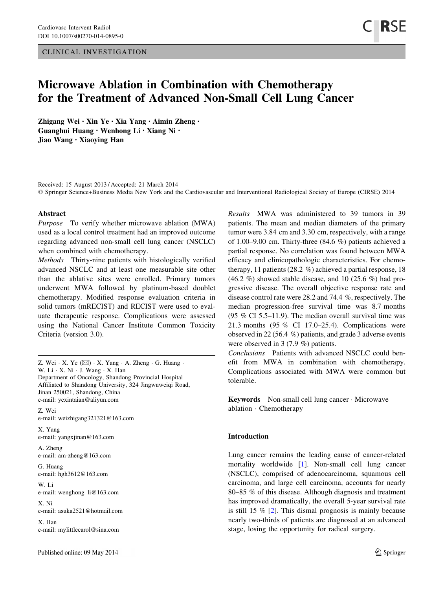CLINICAL INVESTIGATION

# Microwave Ablation in Combination with Chemotherapy for the Treatment of Advanced Non-Small Cell Lung Cancer

Zhigang Wei • Xin Ye • Xia Yang • Aimin Zheng • Guanghui Huang • Wenhong Li • Xiang Ni • Jiao Wang • Xiaoying Han

Received: 15 August 2013 / Accepted: 21 March 2014 © Springer Science+Business Media New York and the Cardiovascular and Interventional Radiological Society of Europe (CIRSE) 2014

#### Abstract

Purpose To verify whether microwave ablation (MWA) used as a local control treatment had an improved outcome regarding advanced non-small cell lung cancer (NSCLC) when combined with chemotherapy.

Methods Thirty-nine patients with histologically verified advanced NSCLC and at least one measurable site other than the ablative sites were enrolled. Primary tumors underwent MWA followed by platinum-based doublet chemotherapy. Modified response evaluation criteria in solid tumors (mRECIST) and RECIST were used to evaluate therapeutic response. Complications were assessed using the National Cancer Institute Common Toxicity Criteria (version 3.0).

Z. Wei  $\cdot$  X. Ye ( $\boxtimes$ )  $\cdot$  X. Yang  $\cdot$  A. Zheng  $\cdot$  G. Huang  $\cdot$ W. Li · X. Ni · J. Wang · X. Han Department of Oncology, Shandong Provincial Hospital Affiliated to Shandong University, 324 Jingwuweiqi Road, Jinan 250021, Shandong, China e-mail: yexintaian@aliyun.com

Z. Wei e-mail: weizhigang321321@163.com

X. Yang e-mail: yangxjinan@163.com

A. Zheng e-mail: am-zheng@163.com

G. Huang e-mail: hgh3612@163.com

W. Li e-mail: wenghong\_li@163.com

X. Ni e-mail: asuka2521@hotmail.com

X. Han e-mail: mylittlecarol@sina.com Results MWA was administered to 39 tumors in 39 patients. The mean and median diameters of the primary tumor were 3.84 cm and 3.30 cm, respectively, with a range of 1.00–9.00 cm. Thirty-three (84.6 %) patients achieved a partial response. No correlation was found between MWA efficacy and clinicopathologic characteristics. For chemotherapy, 11 patients (28.2 %) achieved a partial response, 18  $(46.2 \%)$  showed stable disease, and 10 (25.6 %) had progressive disease. The overall objective response rate and disease control rate were 28.2 and 74.4 %, respectively. The median progression-free survival time was 8.7 months (95 % CI 5.5–11.9). The median overall survival time was 21.3 months (95 % CI 17.0–25.4). Complications were observed in 22 (56.4 %) patients, and grade 3 adverse events were observed in 3 (7.9 %) patients.

Conclusions Patients with advanced NSCLC could benefit from MWA in combination with chemotherapy. Complications associated with MWA were common but tolerable.

Keywords Non-small cell lung cancer - Microwave ablation - Chemotherapy

## Introduction

Lung cancer remains the leading cause of cancer-related mortality worldwide [[1\]](#page-6-0). Non-small cell lung cancer (NSCLC), comprised of adenocarcinoma, squamous cell carcinoma, and large cell carcinoma, accounts for nearly 80–85 % of this disease. Although diagnosis and treatment has improved dramatically, the overall 5-year survival rate is still 15 % [\[2](#page-6-0)]. This dismal prognosis is mainly because nearly two-thirds of patients are diagnosed at an advanced stage, losing the opportunity for radical surgery.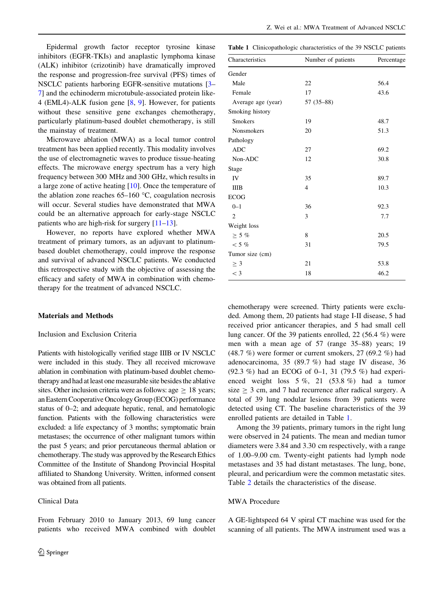Epidermal growth factor receptor tyrosine kinase inhibitors (EGFR-TKIs) and anaplastic lymphoma kinase (ALK) inhibitor (crizotinib) have dramatically improved the response and progression-free survival (PFS) times of NSCLC patients harboring EGFR-sensitive mutations [\[3](#page-6-0)– [7](#page-6-0)] and the echinoderm microtubule-associated protein like-4 (EML4)-ALK fusion gene [\[8](#page-6-0), [9](#page-6-0)]. However, for patients without these sensitive gene exchanges chemotherapy, particularly platinum-based doublet chemotherapy, is still the mainstay of treatment.

Microwave ablation (MWA) as a local tumor control treatment has been applied recently. This modality involves the use of electromagnetic waves to produce tissue-heating effects. The microwave energy spectrum has a very high frequency between 300 MHz and 300 GHz, which results in a large zone of active heating [\[10](#page-6-0)]. Once the temperature of the ablation zone reaches  $65-160$  °C, coagulation necrosis will occur. Several studies have demonstrated that MWA could be an alternative approach for early-stage NSCLC patients who are high-risk for surgery [[11–13\]](#page-6-0).

However, no reports have explored whether MWA treatment of primary tumors, as an adjuvant to platinumbased doublet chemotherapy, could improve the response and survival of advanced NSCLC patients. We conducted this retrospective study with the objective of assessing the efficacy and safety of MWA in combination with chemotherapy for the treatment of advanced NSCLC.

#### Materials and Methods

## Inclusion and Exclusion Criteria

Patients with histologically verified stage IIIB or IV NSCLC were included in this study. They all received microwave ablation in combination with platinum-based doublet chemotherapy and had at least one measurable site besides the ablative sites. Other inclusion criteria were as follows: age  $\geq 18$  years; an Eastern Cooperative Oncology Group (ECOG) performance status of 0–2; and adequate hepatic, renal, and hematologic function. Patients with the following characteristics were excluded: a life expectancy of 3 months; symptomatic brain metastases; the occurrence of other malignant tumors within the past 5 years; and prior percutaneous thermal ablation or chemotherapy. The study was approved by the Research Ethics Committee of the Institute of Shandong Provincial Hospital affiliated to Shandong University. Written, informed consent was obtained from all patients.

## Clinical Data

From February 2010 to January 2013, 69 lung cancer patients who received MWA combined with doublet

Table 1 Clinicopathologic characteristics of the 39 NSCLC patients

| Characteristics    | Number of patients |      |
|--------------------|--------------------|------|
| Gender             |                    |      |
| Male               | 22                 | 56.4 |
| Female             | 17                 | 43.6 |
| Average age (year) | 57 (35-88)         |      |
| Smoking history    |                    |      |
| <b>Smokers</b>     | 19                 | 48.7 |
| <b>Nonsmokers</b>  | 20                 | 51.3 |
| Pathology          |                    |      |
| <b>ADC</b>         | 27                 | 69.2 |
| Non-ADC            | 12                 | 30.8 |
| Stage              |                    |      |
| IV                 | 35                 | 89.7 |
| <b>IIIB</b>        | $\overline{4}$     | 10.3 |
| <b>ECOG</b>        |                    |      |
| $0 - 1$            | 36                 | 92.3 |
| $\overline{2}$     | 3                  | 7.7  |
| Weight loss        |                    |      |
| $\geq$ 5 %         | 8                  | 20.5 |
| $<$ 5 %            | 31                 | 79.5 |
| Tumor size (cm)    |                    |      |
| $\geq$ 3           | 21                 | 53.8 |
| $<$ 3              | 18                 | 46.2 |

chemotherapy were screened. Thirty patients were excluded. Among them, 20 patients had stage I-II disease, 5 had received prior anticancer therapies, and 5 had small cell lung cancer. Of the 39 patients enrolled, 22 (56.4 %) were men with a mean age of 57 (range 35–88) years; 19  $(48.7\%)$  were former or current smokers, 27 (69.2 %) had adenocarcinoma, 35 (89.7 %) had stage IV disease, 36 (92.3 %) had an ECOG of 0–1, 31 (79.5 %) had experienced weight loss 5 %, 21 (53.8 %) had a tumor size  $\geq$  3 cm, and 7 had recurrence after radical surgery. A total of 39 lung nodular lesions from 39 patients were detected using CT. The baseline characteristics of the 39 enrolled patients are detailed in Table 1.

Among the 39 patients, primary tumors in the right lung were observed in 24 patients. The mean and median tumor diameters were 3.84 and 3.30 cm respectively, with a range of 1.00–9.00 cm. Twenty-eight patients had lymph node metastases and 35 had distant metastases. The lung, bone, pleural, and pericardium were the common metastatic sites. Table [2](#page-2-0) details the characteristics of the disease.

## MWA Procedure

A GE-lightspeed 64 V spiral CT machine was used for the scanning of all patients. The MWA instrument used was a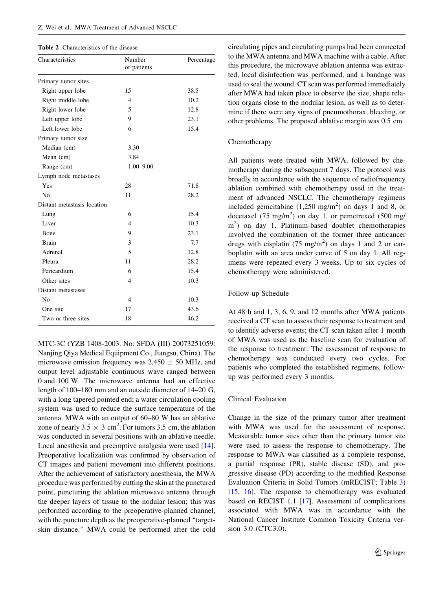#### <span id="page-2-0"></span>Table 2 Characteristics of the disease

| Characteristics             | Number<br>of patients | Percentage |
|-----------------------------|-----------------------|------------|
| Primary tumor sites         |                       |            |
| Right upper lobe            | 15                    | 38.5       |
| Right middle lobe           | 4                     | 10.2       |
| Right lower lobe            | 5                     | 12.8       |
| Left upper lobe             | 9                     | 23.1       |
| Left lower lobe             | 6                     | 15.4       |
| Primary tumor size          |                       |            |
| Median (cm)                 | 3.30                  |            |
| Mean (cm)                   | 3.84                  |            |
| Range (cm)                  | $1.00 - 9.00$         |            |
| Lymph node metastases       |                       |            |
| Yes                         | 28                    | 71.8       |
| N <sub>0</sub>              | 11                    | 28.2       |
| Distant metastasis location |                       |            |
| Lung                        | 6                     | 15.4       |
| Liver                       | $\overline{4}$        | 10.3       |
| Bone                        | 9                     | 23.1       |
| <b>Brain</b>                | 3                     | 7.7        |
| Adrenal                     | 5                     | 12.8       |
| Pleura                      | 11                    | 28.2       |
| Pericardium                 | 6                     | 15.4       |
| Other sites                 | 4                     | 10.3       |
| Distant metastases          |                       |            |
| N <sub>0</sub>              | $\overline{4}$        | 10.3       |
| One site                    | 17                    | 43.6       |
| Two or three sites          | 18                    | 46.2       |

MTC-3C (YZB 1408-2003. No: SFDA (III) 20073251059: Nanjing Qiya Medical Equipment Co., Jiangsu, China). The microwave emission frequency was  $2,450 \pm 50$  MHz, and output level adjustable continuous wave ranged between 0 and 100 W. The microwave antenna had an effective length of 100–180 mm and an outside diameter of 14–20 G, with a long tapered pointed end; a water circulation cooling system was used to reduce the surface temperature of the antenna. MWA with an output of 60–80 W has an ablative zone of nearly  $3.5 \times 3$  cm<sup>2</sup>. For tumors 3.5 cm, the ablation was conducted in several positions with an ablative needle. Local anesthesia and preemptive analgesia were used [\[14](#page-6-0)]. Preoperative localization was confirmed by observation of CT images and patient movement into different positions. After the achievement of satisfactory anesthesia, the MWA procedure was performed by cutting the skin at the punctured point, puncturing the ablation microwave antenna through the deeper layers of tissue to the nodular lesion; this was performed according to the preoperative-planned channel, with the puncture depth as the preoperative-planned "targetskin distance.'' MWA could be performed after the cold circulating pipes and circulating pumps had been connected to the MWA antenna and MWA machine with a cable. After this procedure, the microwave ablation antenna was extracted, local disinfection was performed, and a bandage was used to seal the wound. CT scan was performed immediately after MWA had taken place to observe the size, shape relation organs close to the nodular lesion, as well as to determine if there were any signs of pneumothorax, bleeding, or other problems. The proposed ablative margin was 0.5 cm.

# Chemotherapy

All patients were treated with MWA, followed by chemotherapy during the subsequent 7 days. The protocol was broadly in accordance with the sequence of radiofrequency ablation combined with chemotherapy used in the treatment of advanced NSCLC. The chemotherapy regimens included gemcitabine  $(1,250 \text{ mg/m}^2)$  on days 1 and 8, or docetaxel (75 mg/m<sup>2</sup>) on day 1, or pemetrexed (500 mg/ m<sup>2</sup>) on day 1. Platinum-based doublet chemotherapies involved the combination of the former three anticancer drugs with cisplatin  $(75 \text{ mg/m}^2)$  on days 1 and 2 or carboplatin with an area under curve of 5 on day 1. All regimens were repeated every 3 weeks. Up to six cycles of chemotherapy were administered.

## Follow-up Schedule

At 48 h and 1, 3, 6, 9, and 12 months after MWA patients received a CT scan to assess their response to treatment and to identify adverse events; the CT scan taken after 1 month of MWA was used as the baseline scan for evaluation of the response to treatment. The assessment of response to chemotherapy was conducted every two cycles. For patients who completed the established regimens, followup was performed every 3 months.

#### Clinical Evaluation

Change in the size of the primary tumor after treatment with MWA was used for the assessment of response. Measurable tumor sites other than the primary tumor site were used to assess the response to chemotherapy. The response to MWA was classified as a complete response, a partial response (PR), stable disease (SD), and progressive disease (PD) according to the modified Response Evaluation Criteria in Solid Tumors (mRECIST; Table [3\)](#page-3-0) [\[15](#page-6-0), [16](#page-6-0)]. The response to chemotherapy was evaluated based on RECIST 1.1 [[17\]](#page-6-0). Assessment of complications associated with MWA was in accordance with the National Cancer Institute Common Toxicity Criteria version 3.0 (CTC3.0).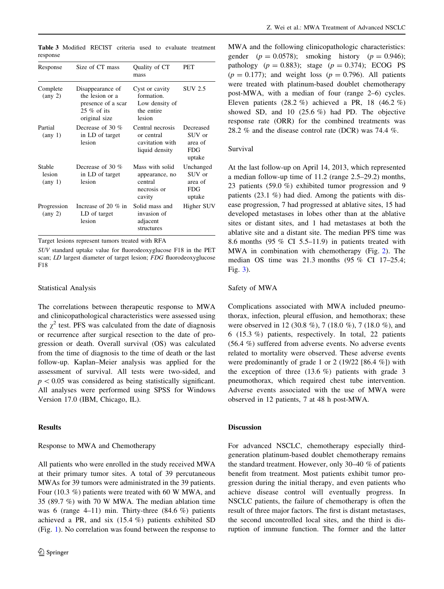| Response                              | Size of CT mass                                                                             | Quality of CT<br>mass                                                  | PET                                                    |
|---------------------------------------|---------------------------------------------------------------------------------------------|------------------------------------------------------------------------|--------------------------------------------------------|
| Complete<br>$(\text{any } 2)$         | Disappearance of<br>the lesion or a<br>presence of a scar<br>$25\%$ of its<br>original size | Cyst or cavity<br>formation.<br>Low density of<br>the entire<br>lesion | SUV 2.5                                                |
| Partial<br>$(\text{any } 1)$          | Decrease of 30 $%$<br>in LD of target<br>lesion                                             | Central necrosis<br>or central<br>cavitation with<br>liquid density    | Decreased<br>SUV or<br>area of<br><b>FDG</b><br>uptake |
| Stable<br>lesion<br>$(\text{any } 1)$ | Decrease of 30 $%$<br>in LD of target<br>lesion                                             | Mass with solid<br>appearance, no<br>central<br>necrosis or<br>cavity  | Unchanged<br>SUV or<br>area of<br>FDG<br>uptake        |
| Progression<br>$(\text{any } 2)$      | Increase of 20 $\%$ in<br>LD of target<br>lesion                                            | Solid mass and<br>invasion of<br>adjacent<br>structures                | Higher SUV                                             |

<span id="page-3-0"></span>Table 3 Modified RECIST criteria used to evaluate treatment response

Target lesions represent tumors treated with RFA

SUV standard uptake value for fluorodeoxyglucose F18 in the PET scan; LD largest diameter of target lesion; FDG fluorodeoxyglucose F18

#### Statistical Analysis

The correlations between therapeutic response to MWA and clinicopathological characteristics were assessed using the  $\chi^2$  test. PFS was calculated from the date of diagnosis or recurrence after surgical resection to the date of progression or death. Overall survival (OS) was calculated from the time of diagnosis to the time of death or the last follow-up. Kaplan–Meier analysis was applied for the assessment of survival. All tests were two-sided, and  $p<0.05$  was considered as being statistically significant. All analyses were performed using SPSS for Windows Version 17.0 (IBM, Chicago, IL).

## Results

## Response to MWA and Chemotherapy

All patients who were enrolled in the study received MWA at their primary tumor sites. A total of 39 percutaneous MWAs for 39 tumors were administrated in the 39 patients. Four (10.3 %) patients were treated with 60 W MWA, and 35 (89.7 %) with 70 W MWA. The median ablation time was 6 (range 4–11) min. Thirty-three (84.6 %) patients achieved a PR, and six (15.4 %) patients exhibited SD (Fig. [1](#page-4-0)). No correlation was found between the response to MWA and the following clinicopathologic characteristics: gender  $(p = 0.0578)$ ; smoking history  $(p = 0.946)$ ; pathology  $(p = 0.883)$ ; stage  $(p = 0.374)$ ; ECOG PS  $(p = 0.177)$ ; and weight loss  $(p = 0.796)$ . All patients were treated with platinum-based doublet chemotherapy post-MWA, with a median of four (range 2–6) cycles. Eleven patients  $(28.2 \%)$  achieved a PR, 18  $(46.2 \%)$ showed SD, and 10 (25.6 %) had PD. The objective response rate (ORR) for the combined treatments was 28.2 % and the disease control rate (DCR) was 74.4 %.

### Survival

At the last follow-up on April 14, 2013, which represented a median follow-up time of 11.2 (range 2.5–29.2) months, 23 patients (59.0 %) exhibited tumor progression and 9 patients (23.1 %) had died. Among the patients with disease progression, 7 had progressed at ablative sites, 15 had developed metastases in lobes other than at the ablative sites or distant sites, and 1 had metastases at both the ablative site and a distant site. The median PFS time was 8.6 months  $(95\% \text{ CI } 5.5-11.9)$  in patients treated with MWA in combination with chemotherapy (Fig. [2\)](#page-5-0). The median OS time was 21.3 months (95 % CI 17–25.4; Fig. [3](#page-5-0)).

# Safety of MWA

Complications associated with MWA included pneumothorax, infection, pleural effusion, and hemothorax; these were observed in 12 (30.8 %), 7 (18.0 %), 7 (18.0 %), and 6 (15.3 %) patients, respectively. In total, 22 patients (56.4 %) suffered from adverse events. No adverse events related to mortality were observed. These adverse events were predominantly of grade 1 or 2 (19/22 [86.4 %]) with the exception of three  $(13.6\%)$  patients with grade 3 pneumothorax, which required chest tube intervention. Adverse events associated with the use of MWA were observed in 12 patients, 7 at 48 h post-MWA.

# Discussion

For advanced NSCLC, chemotherapy especially thirdgeneration platinum-based doublet chemotherapy remains the standard treatment. However, only 30–40 % of patients benefit from treatment. Most patients exhibit tumor progression during the initial therapy, and even patients who achieve disease control will eventually progress. In NSCLC patients, the failure of chemotherapy is often the result of three major factors. The first is distant metastases, the second uncontrolled local sites, and the third is disruption of immune function. The former and the latter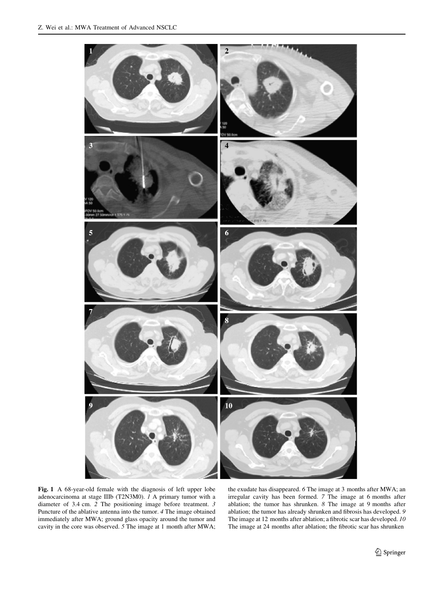<span id="page-4-0"></span>

Fig. 1 A 68-year-old female with the diagnosis of left upper lobe adenocarcinoma at stage IIIb (T2N3M0). 1 A primary tumor with a diameter of 3.4 cm. 2 The positioning image before treatment. 3 Puncture of the ablative antenna into the tumor. 4 The image obtained immediately after MWA; ground glass opacity around the tumor and cavity in the core was observed. 5 The image at 1 month after MWA;

the exudate has disappeared. 6 The image at 3 months after MWA; an irregular cavity has been formed. 7 The image at 6 months after ablation; the tumor has shrunken. 8 The image at 9 months after ablation; the tumor has already shrunken and fibrosis has developed. 9 The image at 12 months after ablation; a fibrotic scar has developed. 10 The image at 24 months after ablation; the fibrotic scar has shrunken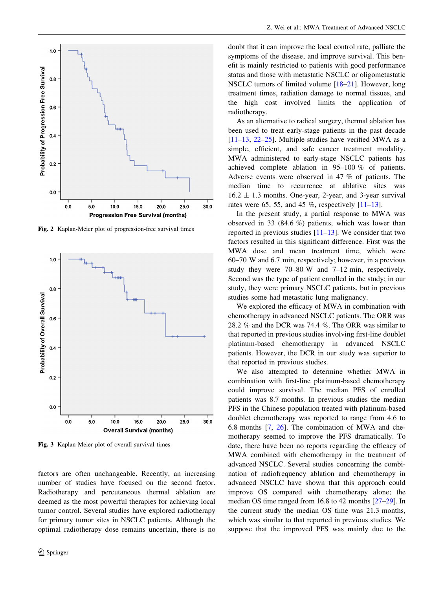<span id="page-5-0"></span>

Fig. 2 Kaplan-Meier plot of progression-free survival times



Fig. 3 Kaplan-Meier plot of overall survival times

factors are often unchangeable. Recently, an increasing number of studies have focused on the second factor. Radiotherapy and percutaneous thermal ablation are deemed as the most powerful therapies for achieving local tumor control. Several studies have explored radiotherapy for primary tumor sites in NSCLC patients. Although the optimal radiotherapy dose remains uncertain, there is no doubt that it can improve the local control rate, palliate the symptoms of the disease, and improve survival. This benefit is mainly restricted to patients with good performance status and those with metastatic NSCLC or oligometastatic NSCLC tumors of limited volume [[18–21\]](#page-6-0). However, long treatment times, radiation damage to normal tissues, and the high cost involved limits the application of radiotherapy.

As an alternative to radical surgery, thermal ablation has been used to treat early-stage patients in the past decade  $[11–13, 22–25]$  $[11–13, 22–25]$  $[11–13, 22–25]$  $[11–13, 22–25]$  $[11–13, 22–25]$ . Multiple studies have verified MWA as a simple, efficient, and safe cancer treatment modality. MWA administered to early-stage NSCLC patients has achieved complete ablation in 95–100 % of patients. Adverse events were observed in 47 % of patients. The median time to recurrence at ablative sites was  $16.2 \pm 1.3$  months. One-year, 2-year, and 3-year survival rates were 65, 55, and 45 %, respectively  $[11–13]$  $[11–13]$ .

In the present study, a partial response to MWA was observed in 33 (84.6 %) patients, which was lower than reported in previous studies  $[11–13]$  $[11–13]$ . We consider that two factors resulted in this significant difference. First was the MWA dose and mean treatment time, which were 60–70 W and 6.7 min, respectively; however, in a previous study they were 70–80 W and 7–12 min, respectively. Second was the type of patient enrolled in the study; in our study, they were primary NSCLC patients, but in previous studies some had metastatic lung malignancy.

We explored the efficacy of MWA in combination with chemotherapy in advanced NSCLC patients. The ORR was 28.2 % and the DCR was 74.4 %. The ORR was similar to that reported in previous studies involving first-line doublet platinum-based chemotherapy in advanced NSCLC patients. However, the DCR in our study was superior to that reported in previous studies.

We also attempted to determine whether MWA in combination with first-line platinum-based chemotherapy could improve survival. The median PFS of enrolled patients was 8.7 months. In previous studies the median PFS in the Chinese population treated with platinum-based doublet chemotherapy was reported to range from 4.6 to 6.8 months [\[7](#page-6-0), [26\]](#page-7-0). The combination of MWA and chemotherapy seemed to improve the PFS dramatically. To date, there have been no reports regarding the efficacy of MWA combined with chemotherapy in the treatment of advanced NSCLC. Several studies concerning the combination of radiofrequency ablation and chemotherapy in advanced NSCLC have shown that this approach could improve OS compared with chemotherapy alone; the median OS time ranged from 16.8 to 42 months [[27–29\]](#page-7-0). In the current study the median OS time was 21.3 months, which was similar to that reported in previous studies. We suppose that the improved PFS was mainly due to the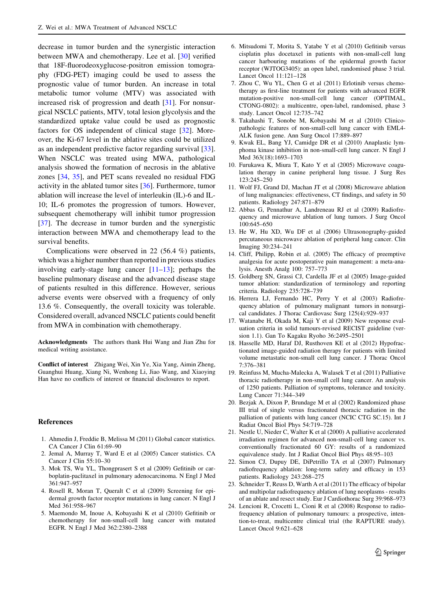<span id="page-6-0"></span>decrease in tumor burden and the synergistic interaction between MWA and chemotherapy. Lee et al. [[30\]](#page-7-0) verified that 18F-fluorodeoxyglucose-positron emission tomography (FDG-PET) imaging could be used to assess the prognostic value of tumor burden. An increase in total metabolic tumor volume (MTV) was associated with increased risk of progression and death [\[31](#page-7-0)]. For nonsurgical NSCLC patients, MTV, total lesion glycolysis and the standardized uptake value could be used as prognostic factors for OS independent of clinical stage [[32\]](#page-7-0). Moreover, the Ki-67 level in the ablative sites could be utilized as an independent predictive factor regarding survival [\[33](#page-7-0)]. When NSCLC was treated using MWA, pathological analysis showed the formation of necrosis in the ablative zones [[34,](#page-7-0) [35](#page-7-0)], and PET scans revealed no residual FDG activity in the ablated tumor sites [[36](#page-7-0)]. Furthermore, tumor ablation will increase the level of interleukin (IL)-6 and IL-10; IL-6 promotes the progression of tumors. However, subsequent chemotherapy will inhibit tumor progression [\[37](#page-7-0)]. The decrease in tumor burden and the synergistic interaction between MWA and chemotherapy lead to the survival benefits.

Complications were observed in 22 (56.4 %) patients, which was a higher number than reported in previous studies involving early-stage lung cancer [11–13]; perhaps the baseline pulmonary disease and the advanced disease stage of patients resulted in this difference. However, serious adverse events were observed with a frequency of only 13.6 %. Consequently, the overall toxicity was tolerable. Considered overall, advanced NSCLC patients could benefit from MWA in combination with chemotherapy.

Acknowledgments The authors thank Hui Wang and Jian Zhu for medical writing assistance.

Conflict of interest Zhigang Wei, Xin Ye, Xia Yang, Aimin Zheng, Guanghui Huang, Xiang Ni, Wenhong Li, Jiao Wang, and Xiaoying Han have no conflicts of interest or financial disclosures to report.

#### References

- 1. Ahmedin J, Freddie B, Melissa M (2011) Global cancer statistics. CA Cancer J Clin 61:69–90
- 2. Jemal A, Murray T, Ward E et al (2005) Cancer statistics. CA Cancer J Clin 55:10–30
- 3. Mok TS, Wu YL, Thongprasert S et al (2009) Gefitinib or carboplatin-paclitaxel in pulmonary adenocarcinoma. N Engl J Med 361:947–957
- 4. Rosell R, Moran T, Queralt C et al (2009) Screening for epidermal growth factor receptor mutations in lung cancer. N Engl J Med 361:958–967
- 5. Maemondo M, Inoue A, Kobayashi K et al (2010) Gefitinib or chemotherapy for non-small-cell lung cancer with mutated EGFR. N Engl J Med 362:2380–2388
- 6. Mitsudomi T, Morita S, Yatabe Y et al (2010) Gefitinib versus cisplatin plus docetaxel in patients with non-small-cell lung cancer harbouring mutations of the epidermal growth factor receptor (WJTOG3405): an open label, randomised phase 3 trial. Lancet Oncol 11:121–128
- 7. Zhou C, Wu YL, Chen G et al (2011) Erlotinib versus chemotherapy as first-line treatment for patients with advanced EGFR mutation-positive non-small-cell lung cancer (OPTIMAL, CTONG-0802): a multicentre, open-label, randomised, phase 3 study. Lancet Oncol 12:735–742
- 8. Takahashi T, Sonobe M, Kobayashi M et al (2010) Clinicopathologic features of non-small-cell lung cancer with EML4- ALK fusion gene. Ann Surg Oncol 17:889–897
- 9. Kwak EL, Bang YJ, Camidge DR et al (2010) Anaplastic lymphoma kinase inhibition in non-small-cell lung cancer. N Engl J Med 363(18):1693–1703
- 10. Furukawa K, Miura T, Kato Y et al (2005) Microwave coagulation therapy in canine peripheral lung tissue. J Surg Res 123:245–250
- 11. Wolf FJ, Grand DJ, Machan JT et al (2008) Microwave ablation of lung malignancies: effectiveness, CT findings, and safety in 50 patients. Radiology 247:871–879
- 12. Abbas G, Pennathur A, Landreneau RJ et al (2009) Radiofrequency and microwave ablation of lung tumors. J Surg Oncol 100:645–650
- 13. He W, Hu XD, Wu DF et al (2006) Ultrasonography-guided percutaneous microwave ablation of peripheral lung cancer. Clin Imaging 30:234–241
- 14. Cliff, Philipp, Robin et al. (2005) The efficacy of preemptive analgesia for acute postoperative pain management: a meta-analysis. Anesth Analg 100: 757–773
- 15. Goldberg SN, Grassi CJ, Cardella JF et al (2005) Image-guided tumor ablation: standardization of terminology and reporting criteria. Radiology 235:728–739
- 16. Herrera LJ, Fernando HC, Perry Y et al (2003) Radiofrequency ablation of pulmonary malignant tumors in nonsurgical candidates. J Thorac Cardiovasc Surg 125(4):929–937
- 17. Watanabe H, Okada M, Kaji Y et al (2009) New response evaluation criteria in solid tumours-revised RECIST guideline (version 1.1). Gan To Kagaku Ryoho 36:2495–2501
- 18. Hasselle MD, Haraf DJ, Rusthoven KE et al (2012) Hypofractionated image-guided radiation therapy for patients with limited volume metastatic non-small cell lung cancer. J Thorac Oncol 7:376–381
- 19. Reinfuss M, Mucha-Malecka A, Walasek T et al (2011) Palliative thoracic radiotherapy in non-small cell lung cancer. An analysis of 1250 patients. Palliation of symptoms, tolerance and toxicity. Lung Cancer 71:344–349
- 20. Bezjak A, Dixon P, Brundage M et al (2002) Randomized phase III trial of single versus fractionated thoracic radiation in the palliation of patients with lung cancer (NCIC CTG SC.15). Int J Radiat Oncol Biol Phys 54:719–728
- 21. Nestle U, Nieder C, Walter K et al (2000) A palliative accelerated irradiation regimen for advanced non-small-cell lung cancer vs. conventionally fractionated 60 GY: results of a randomized equivalence study. Int J Radiat Oncol Biol Phys 48:95–103
- 22. Simon CJ, Dupuy DE, DiPetrillo TA et al (2007) Pulmonary radiofrequency ablation: long-term safety and efficacy in 153 patients. Radiology 243:268–275
- 23. Schneider T, Reuss D, Warth A et al (2011) The efficacy of bipolar and multipolar radiofrequency ablation of lung neoplasms - results of an ablate and resect study. Eur J Cardiothorac Surg 39:968–973
- 24. Lencioni R, Crocetti L, Cioni R et al (2008) Response to radiofrequency ablation of pulmonary tumours: a prospective, intention-to-treat, multicentre clinical trial (the RAPTURE study). Lancet Oncol 9:621–628